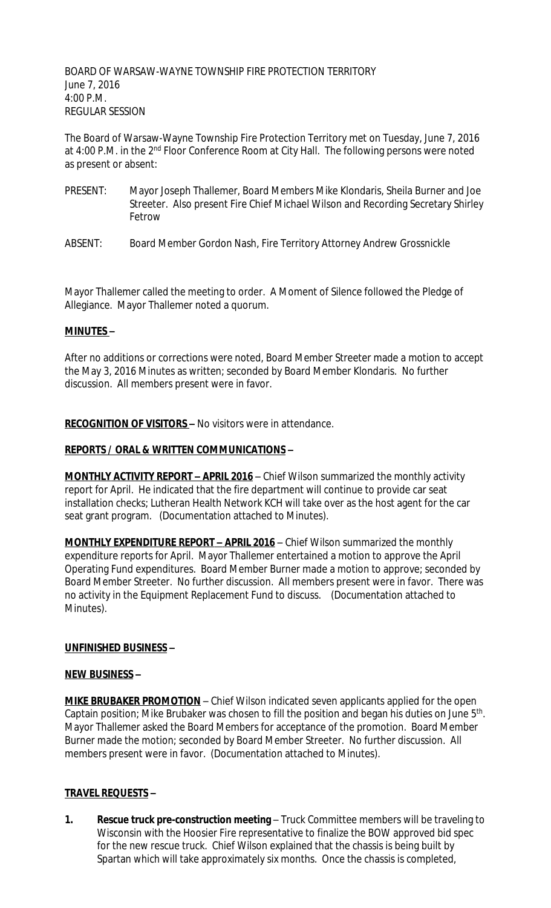BOARD OF WARSAW-WAYNE TOWNSHIP FIRE PROTECTION TERRITORY June 7, 2016 4:00 P.M. REGULAR SESSION

The Board of Warsaw-Wayne Township Fire Protection Territory met on Tuesday, June 7, 2016 at 4:00 P.M. in the 2<sup>nd</sup> Floor Conference Room at City Hall. The following persons were noted as present or absent:

- PRESENT: Mayor Joseph Thallemer, Board Members Mike Klondaris, Sheila Burner and Joe Streeter. Also present Fire Chief Michael Wilson and Recording Secretary Shirley Fetrow
- ABSENT: Board Member Gordon Nash, Fire Territory Attorney Andrew Grossnickle

Mayor Thallemer called the meeting to order. A Moment of Silence followed the Pledge of Allegiance. Mayor Thallemer noted a quorum.

## **MINUTES –**

After no additions or corrections were noted, Board Member Streeter made a motion to accept the May 3, 2016 Minutes as written; seconded by Board Member Klondaris. No further discussion. All members present were in favor.

**RECOGNITION OF VISITORS –** No visitors were in attendance.

# **REPORTS / ORAL & WRITTEN COMMUNICATIONS –**

**MONTHLY ACTIVITY REPORT - APRIL 2016** - Chief Wilson summarized the monthly activity report for April. He indicated that the fire department will continue to provide car seat installation checks; Lutheran Health Network KCH will take over as the host agent for the car seat grant program. (Documentation attached to Minutes).

**MONTHLY EXPENDITURE REPORT – APRIL 2016** – Chief Wilson summarized the monthly expenditure reports for April. Mayor Thallemer entertained a motion to approve the April Operating Fund expenditures. Board Member Burner made a motion to approve; seconded by Board Member Streeter. No further discussion. All members present were in favor. There was no activity in the Equipment Replacement Fund to discuss. (Documentation attached to Minutes).

## **UNFINISHED BUSINESS –**

## **NEW BUSINESS –**

**MIKE BRUBAKER PROMOTION** – Chief Wilson indicated seven applicants applied for the open Captain position; Mike Brubaker was chosen to fill the position and began his duties on June 5<sup>th</sup>. Mayor Thallemer asked the Board Members for acceptance of the promotion. Board Member Burner made the motion; seconded by Board Member Streeter. No further discussion. All members present were in favor. (Documentation attached to Minutes).

## **TRAVEL REQUESTS –**

**1. Rescue truck pre-construction meeting** – Truck Committee members will be traveling to Wisconsin with the Hoosier Fire representative to finalize the BOW approved bid spec for the new rescue truck. Chief Wilson explained that the chassis is being built by Spartan which will take approximately six months. Once the chassis is completed,